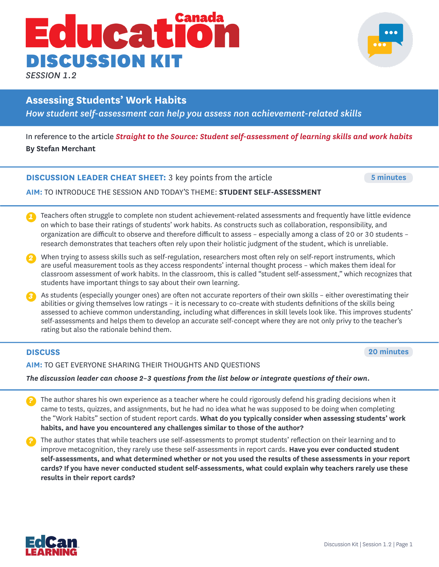# Canada **Educat** DISCUSSION KIT

*SESSION 1.2*

# **Assessing Students' Work Habits**

*How student self-assessment can help you assess non achievement-related skills*

# In reference to the article *Straight to the Source: Student self-assessment of learning skills and work habits* **By Stefan Merchant**

# **DISCUSSION LEADER CHEAT SHEET:** 3 key points from the article

**5 minutes**

**AIM:** TO INTRODUCE THE SESSION AND TODAY'S THEME: **STUDENT SELF-ASSESSMENT**

- Teachers often struggle to complete non student achievement-related assessments and frequently have little evidence on which to base their ratings of students' work habits. As constructs such as collaboration, responsibility, and organization are difficult to observe and therefore difficult to assess – especially among a class of 20 or 30 students – research demonstrates that teachers often rely upon their holistic judgment of the student, which is unreliable. *1*
- When trying to assess skills such as self-regulation, researchers most often rely on self-report instruments, which are useful measurement tools as they access respondents' internal thought process – which makes them ideal for classroom assessment of work habits. In the classroom, this is called "student self-assessment," which recognizes that students have important things to say about their own learning.
- As students (especially younger ones) are often not accurate reporters of their own skills either overestimating their abilities or giving themselves low ratings – it is necessary to co-create with students definitions of the skills being assessed to achieve common understanding, including what differences in skill levels look like. This improves students' self-assessments and helps them to develop an accurate self-concept where they are not only privy to the teacher's rating but also the rationale behind them.

**DISCUSS 20 minutes**

**AIM:** TO GET EVERYONE SHARING THEIR THOUGHTS AND QUESTIONS

*The discussion leader can choose 2–3 questions from the list below or integrate questions of their own.*

- The author shares his own experience as a teacher where he could rigorously defend his grading decisions when it came to tests, quizzes, and assignments, but he had no idea what he was supposed to be doing when completing the "Work Habits" section of student report cards. **What do you typically consider when assessing students' work habits, and have you encountered any challenges similar to those of the author?** *?*
- The author states that while teachers use self-assessments to prompt students' reflection on their learning and to improve metacognition, they rarely use these self-assessments in report cards. **Have you ever conducted student self-assessments, and what determined whether or not you used the results of these assessments in your report cards? If you have never conducted student self-assessments, what could explain why teachers rarely use these results in their report cards?**